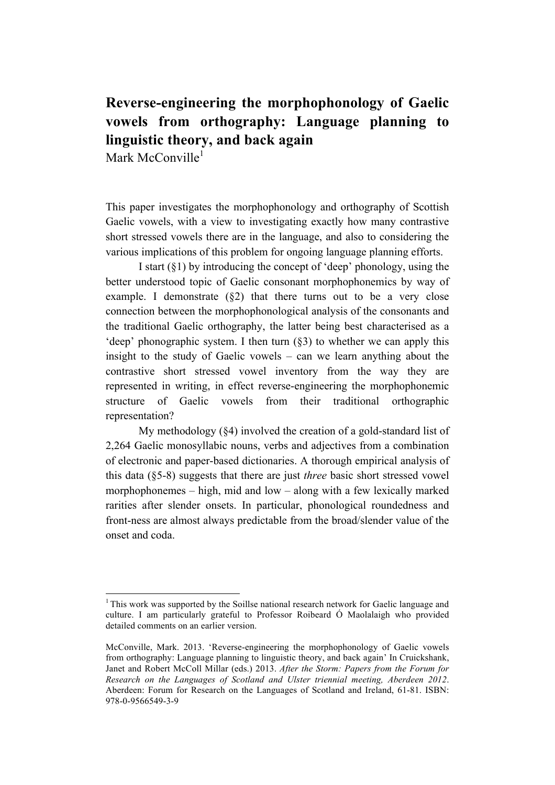# **Reverse-engineering the morphophonology of Gaelic vowels from orthography: Language planning to linguistic theory, and back again**

Mark McConville<sup>1</sup>

This paper investigates the morphophonology and orthography of Scottish Gaelic vowels, with a view to investigating exactly how many contrastive short stressed vowels there are in the language, and also to considering the various implications of this problem for ongoing language planning efforts.

I start (§1) by introducing the concept of 'deep' phonology, using the better understood topic of Gaelic consonant morphophonemics by way of example. I demonstrate (§2) that there turns out to be a very close connection between the morphophonological analysis of the consonants and the traditional Gaelic orthography, the latter being best characterised as a 'deep' phonographic system. I then turn (§3) to whether we can apply this insight to the study of Gaelic vowels – can we learn anything about the contrastive short stressed vowel inventory from the way they are represented in writing, in effect reverse-engineering the morphophonemic structure of Gaelic vowels from their traditional orthographic representation?

My methodology (§4) involved the creation of a gold-standard list of 2,264 Gaelic monosyllabic nouns, verbs and adjectives from a combination of electronic and paper-based dictionaries. A thorough empirical analysis of this data (§5-8) suggests that there are just *three* basic short stressed vowel morphophonemes – high, mid and low – along with a few lexically marked rarities after slender onsets. In particular, phonological roundedness and front-ness are almost always predictable from the broad/slender value of the onset and coda.

<sup>&</sup>lt;sup>1</sup> This work was supported by the Soillse national research network for Gaelic language and culture. I am particularly grateful to Professor Roibeard Ó Maolalaigh who provided detailed comments on an earlier version.

McConville, Mark. 2013. 'Reverse-engineering the morphophonology of Gaelic vowels from orthography: Language planning to linguistic theory, and back again' In Cruickshank, Janet and Robert McColl Millar (eds.) 2013. *After the Storm: Papers from the Forum for Research on the Languages of Scotland and Ulster triennial meeting, Aberdeen 2012*. Aberdeen: Forum for Research on the Languages of Scotland and Ireland, 61-81. ISBN: 978-0-9566549-3-9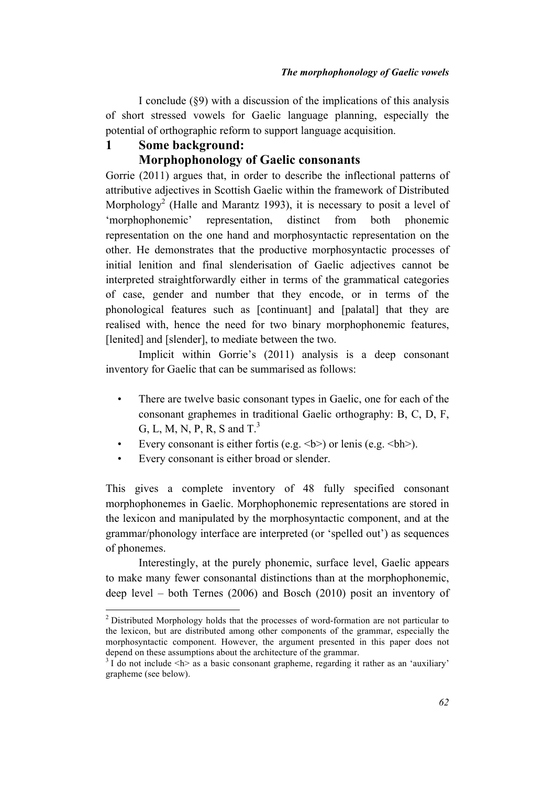I conclude (§9) with a discussion of the implications of this analysis of short stressed vowels for Gaelic language planning, especially the potential of orthographic reform to support language acquisition.

## **1 Some background:**

### **Morphophonology of Gaelic consonants**

Gorrie (2011) argues that, in order to describe the inflectional patterns of attributive adjectives in Scottish Gaelic within the framework of Distributed Morphology<sup>2</sup> (Halle and Marantz 1993), it is necessary to posit a level of 'morphophonemic' representation, distinct from both phonemic representation on the one hand and morphosyntactic representation on the other. He demonstrates that the productive morphosyntactic processes of initial lenition and final slenderisation of Gaelic adjectives cannot be interpreted straightforwardly either in terms of the grammatical categories of case, gender and number that they encode, or in terms of the phonological features such as [continuant] and [palatal] that they are realised with, hence the need for two binary morphophonemic features, [lenited] and [slender], to mediate between the two.

Implicit within Gorrie's (2011) analysis is a deep consonant inventory for Gaelic that can be summarised as follows:

- There are twelve basic consonant types in Gaelic, one for each of the consonant graphemes in traditional Gaelic orthography: B, C, D, F, G, L, M, N, P, R, S and  $T<sup>3</sup>$
- Every consonant is either fortis (e.g.  $\langle b \rangle$ ) or lenis (e.g.  $\langle bh \rangle$ ).
- Every consonant is either broad or slender.

This gives a complete inventory of 48 fully specified consonant morphophonemes in Gaelic. Morphophonemic representations are stored in the lexicon and manipulated by the morphosyntactic component, and at the grammar/phonology interface are interpreted (or 'spelled out') as sequences of phonemes.

Interestingly, at the purely phonemic, surface level, Gaelic appears to make many fewer consonantal distinctions than at the morphophonemic, deep level – both Ternes (2006) and Bosch (2010) posit an inventory of

 $2$  Distributed Morphology holds that the processes of word-formation are not particular to the lexicon, but are distributed among other components of the grammar, especially the morphosyntactic component. However, the argument presented in this paper does not depend on these assumptions about the architecture of the grammar.

 $3 \overline{1}$  do not include  $\langle h \rangle$  as a basic consonant grapheme, regarding it rather as an 'auxiliary' grapheme (see below).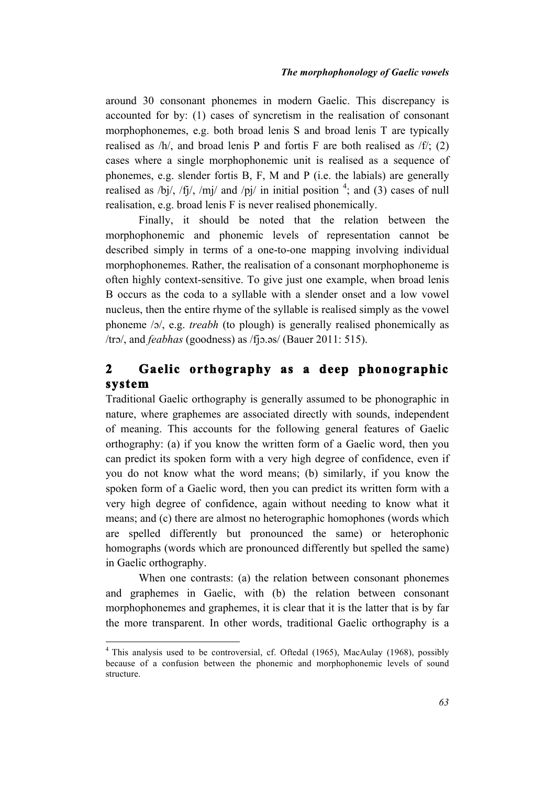around 30 consonant phonemes in modern Gaelic. This discrepancy is accounted for by: (1) cases of syncretism in the realisation of consonant morphophonemes, e.g. both broad lenis S and broad lenis T are typically realised as  $/h/$ , and broad lenis P and fortis F are both realised as  $/f/$ ; (2) cases where a single morphophonemic unit is realised as a sequence of phonemes, e.g. slender fortis B, F, M and P (i.e. the labials) are generally realised as /bj/, /fj/, /mj/ and /pj/ in initial position  $\frac{4}{3}$ ; and (3) cases of null realisation, e.g. broad lenis F is never realised phonemically.

Finally, it should be noted that the relation between the morphophonemic and phonemic levels of representation cannot be described simply in terms of a one-to-one mapping involving individual morphophonemes. Rather, the realisation of a consonant morphophoneme is often highly context-sensitive. To give just one example, when broad lenis B occurs as the coda to a syllable with a slender onset and a low vowel nucleus, then the entire rhyme of the syllable is realised simply as the vowel phoneme /ɔ/, e.g. *treabh* (to plough) is generally realised phonemically as /trɔ/, and *feabhas* (goodness) as /fjɔ.ǝs/ (Bauer 2011: 515).

## **2 Gaelic orthography as a deep phonographic system**

Traditional Gaelic orthography is generally assumed to be phonographic in nature, where graphemes are associated directly with sounds, independent of meaning. This accounts for the following general features of Gaelic orthography: (a) if you know the written form of a Gaelic word, then you can predict its spoken form with a very high degree of confidence, even if you do not know what the word means; (b) similarly, if you know the spoken form of a Gaelic word, then you can predict its written form with a very high degree of confidence, again without needing to know what it means; and (c) there are almost no heterographic homophones (words which are spelled differently but pronounced the same) or heterophonic homographs (words which are pronounced differently but spelled the same) in Gaelic orthography.

When one contrasts: (a) the relation between consonant phonemes and graphemes in Gaelic, with (b) the relation between consonant morphophonemes and graphemes, it is clear that it is the latter that is by far the more transparent. In other words, traditional Gaelic orthography is a

<sup>&</sup>lt;sup>4</sup> This analysis used to be controversial, cf. Oftedal (1965), MacAulay (1968), possibly because of a confusion between the phonemic and morphophonemic levels of sound structure.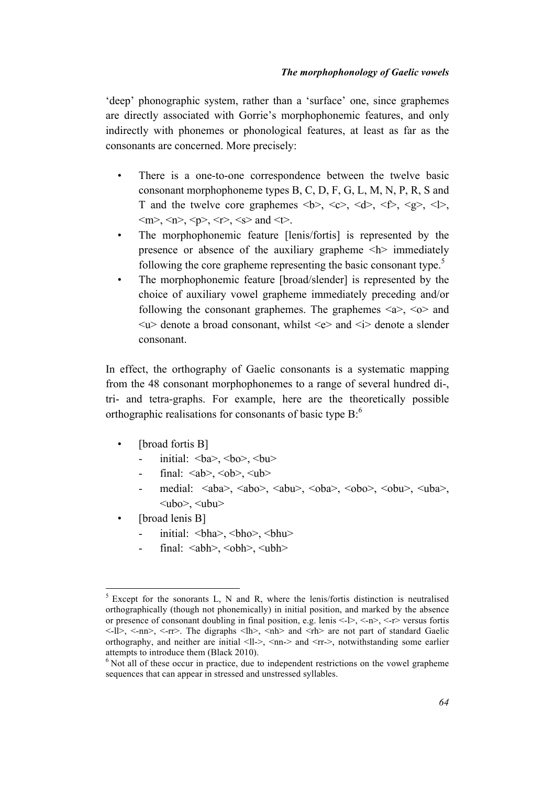'deep' phonographic system, rather than a 'surface' one, since graphemes are directly associated with Gorrie's morphophonemic features, and only indirectly with phonemes or phonological features, at least as far as the consonants are concerned. More precisely:

- There is a one-to-one correspondence between the twelve basic consonant morphophoneme types B, C, D, F, G, L, M, N, P, R, S and T and the twelve core graphemes  $\langle b \rangle$ ,  $\langle c \rangle$ ,  $\langle d \rangle$ ,  $\langle f \rangle$ ,  $\langle g \rangle$ ,  $\langle \rangle$ ,  $\langle m \rangle$ ,  $\langle n \rangle$ ,  $\langle p \rangle$ ,  $\langle r \rangle$ ,  $\langle s \rangle$  and  $\langle t \rangle$ .
- The morphophonemic feature [lenis/fortis] is represented by the presence or absence of the auxiliary grapheme  $\langle h \rangle$  immediately following the core grapheme representing the basic consonant type.<sup>5</sup>
- The morphophonemic feature [broad/slender] is represented by the choice of auxiliary vowel grapheme immediately preceding and/or following the consonant graphemes. The graphemes  $\langle a \rangle$ ,  $\langle o \rangle$  and  $\langle u \rangle$  denote a broad consonant, whilst  $\langle e \rangle$  and  $\langle i \rangle$  denote a slender consonant.

In effect, the orthography of Gaelic consonants is a systematic mapping from the 48 consonant morphophonemes to a range of several hundred di-, tri- and tetra-graphs. For example, here are the theoretically possible orthographic realisations for consonants of basic type  $B$ :<sup>6</sup>

- [broad fortis B]
	- initial:  $$
	- final:  $\langle ab \rangle$ ,  $\langle ob \rangle$ ,  $\langle ub \rangle$
	- medial:  $\langle aba \rangle$ ,  $\langle abo \rangle$ ,  $\langle abu \rangle$ ,  $\langle oba \rangle$ ,  $\langle oba \rangle$ ,  $\langle obu \rangle$ ,  $\langle uba \rangle$ ,  $\langle$ ubo $\rangle$ ,  $\langle$ ubu $\rangle$
- [broad lenis B]
	- initial: **,**  $**bho**$ **,**  $**bhu**$
	- final:  $\langle$ abh $>$ ,  $\langle$ obh $>$ ,  $\langle$ ubh $>$

 $5$  Except for the sonorants L, N and R, where the lenis/fortis distinction is neutralised orthographically (though not phonemically) in initial position, and marked by the absence or presence of consonant doubling in final position, e.g. lenis  $\langle -1 \rangle$ ,  $\langle -n \rangle$ ,  $\langle -r \rangle$  versus fortis  $\langle -1| \rangle$ ,  $\langle -n| \rangle$ ,  $\langle -r| \rangle$ . The digraphs  $\langle 1| \rangle$ ,  $\langle n| \rangle$  and  $\langle r| \rangle$  are not part of standard Gaelic orthography, and neither are initial <ll->, <nn-> and <rr->, notwithstanding some earlier attempts to introduce them (Black 2010).

 $6$  Not all of these occur in practice, due to independent restrictions on the vowel grapheme sequences that can appear in stressed and unstressed syllables.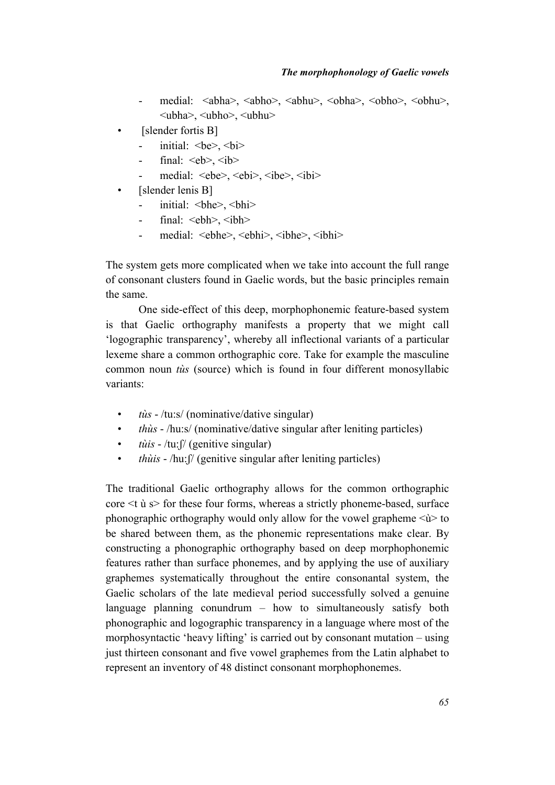- medial: <abha>, <abho>, <abhu>, <obha>, <obho>, <obhu>, <br/> <ubha>, <ubho>, <ubhu>
- [slender fortis B]
	- initial: **,**  $**bi**$
	- final:  $\langle eb \rangle$ ,  $\langle ib \rangle$
	- medial: <ebe>, <ebi>, <ibe>, <ibi>
- [slender lenis B]
	- initial: **,**  $**thi**$
	- final:  $\langle$ ebh>,  $\langle$ ibh>
	- medial: <ebhe>, <ebhi>, <ibhe>, <ibhi>

The system gets more complicated when we take into account the full range of consonant clusters found in Gaelic words, but the basic principles remain the same.

One side-effect of this deep, morphophonemic feature-based system is that Gaelic orthography manifests a property that we might call 'logographic transparency', whereby all inflectional variants of a particular lexeme share a common orthographic core. Take for example the masculine common noun *tùs* (source) which is found in four different monosyllabic variants:

- *tùs* /tu:s/ (nominative/dative singular)
- *thùs* /hu:s/ (nominative/dative singular after leniting particles)
- *tùis* /tu:  $\int$  (genitive singular)
- *thùis* /hu:  $\int$  (genitive singular after leniting particles)

The traditional Gaelic orthography allows for the common orthographic core  $\leq t$  ù s for these four forms, whereas a strictly phoneme-based, surface phonographic orthography would only allow for the vowel grapheme  $\langle \hat{u} \rangle$  to be shared between them, as the phonemic representations make clear. By constructing a phonographic orthography based on deep morphophonemic features rather than surface phonemes, and by applying the use of auxiliary graphemes systematically throughout the entire consonantal system, the Gaelic scholars of the late medieval period successfully solved a genuine language planning conundrum – how to simultaneously satisfy both phonographic and logographic transparency in a language where most of the morphosyntactic 'heavy lifting' is carried out by consonant mutation – using just thirteen consonant and five vowel graphemes from the Latin alphabet to represent an inventory of 48 distinct consonant morphophonemes.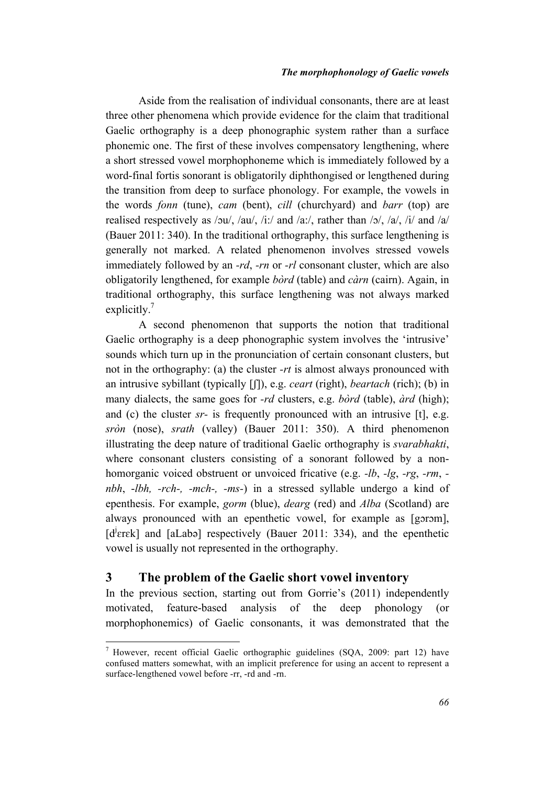Aside from the realisation of individual consonants, there are at least three other phenomena which provide evidence for the claim that traditional Gaelic orthography is a deep phonographic system rather than a surface phonemic one. The first of these involves compensatory lengthening, where a short stressed vowel morphophoneme which is immediately followed by a word-final fortis sonorant is obligatorily diphthongised or lengthened during the transition from deep to surface phonology. For example, the vowels in the words *fonn* (tune), *cam* (bent), *cill* (churchyard) and *barr* (top) are realised respectively as /ɔu/, /au/, /i:/ and /a:/, rather than /ɔ/, /a/, /i/ and /a/ (Bauer 2011: 340). In the traditional orthography, this surface lengthening is generally not marked. A related phenomenon involves stressed vowels immediately followed by an *-rd*, *-rn* or *-rl* consonant cluster, which are also obligatorily lengthened, for example *bòrd* (table) and *càrn* (cairn). Again, in traditional orthography, this surface lengthening was not always marked explicitly. $7$ 

A second phenomenon that supports the notion that traditional Gaelic orthography is a deep phonographic system involves the 'intrusive' sounds which turn up in the pronunciation of certain consonant clusters, but not in the orthography: (a) the cluster *-rt* is almost always pronounced with an intrusive sybillant (typically [ʃ]), e.g. *ceart* (right), *beartach* (rich); (b) in many dialects, the same goes for *-rd* clusters, e.g. *bòrd* (table), *àrd* (high); and (c) the cluster *sr-* is frequently pronounced with an intrusive [t], e.g. *sròn* (nose), *srath* (valley) (Bauer 2011: 350). A third phenomenon illustrating the deep nature of traditional Gaelic orthography is *svarabhakti*, where consonant clusters consisting of a sonorant followed by a nonhomorganic voiced obstruent or unvoiced fricative (e.g. *-lb*, *-lg*, *-rg*, *-rm*,  *nbh*, -*lbh, -rch-, -mch-, -ms-*) in a stressed syllable undergo a kind of epenthesis. For example, *gorm* (blue), *dearg* (red) and *Alba* (Scotland) are always pronounced with an epenthetic vowel, for example as [gɔrɔm], [d<sup>j</sup>erek] and [aLabə] respectively (Bauer 2011: 334), and the epenthetic vowel is usually not represented in the orthography.

## **3 The problem of the Gaelic short vowel inventory**

In the previous section, starting out from Gorrie's (2011) independently motivated, feature-based analysis of the deep phonology (or morphophonemics) of Gaelic consonants, it was demonstrated that the

 $7$  However, recent official Gaelic orthographic guidelines (SQA, 2009: part 12) have confused matters somewhat, with an implicit preference for using an accent to represent a surface-lengthened vowel before -rr, -rd and -rn.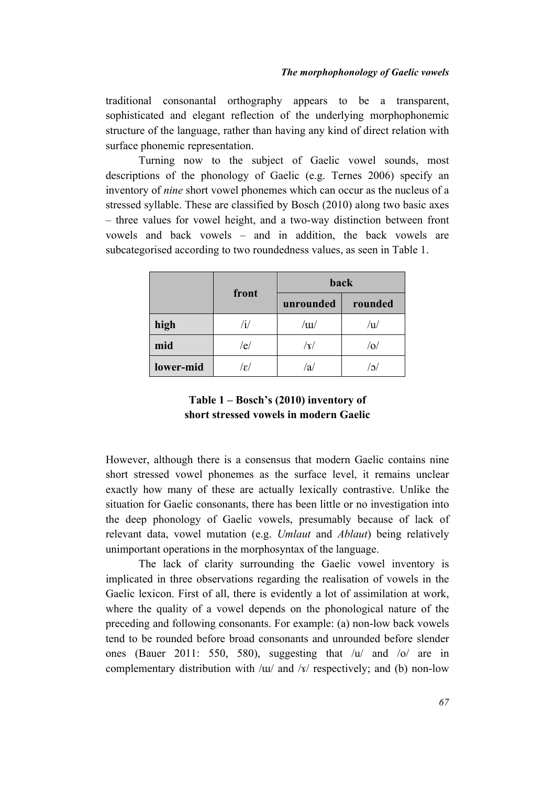traditional consonantal orthography appears to be a transparent, sophisticated and elegant reflection of the underlying morphophonemic structure of the language, rather than having any kind of direct relation with surface phonemic representation.

Turning now to the subject of Gaelic vowel sounds, most descriptions of the phonology of Gaelic (e.g. Ternes 2006) specify an inventory of *nine* short vowel phonemes which can occur as the nucleus of a stressed syllable. These are classified by Bosch (2010) along two basic axes – three values for vowel height, and a two-way distinction between front vowels and back vowels – and in addition, the back vowels are subcategorised according to two roundedness values, as seen in Table 1.

|           |                 | back                           |         |  |
|-----------|-----------------|--------------------------------|---------|--|
|           | front           | unrounded                      | rounded |  |
| high      | /i/             | / $\mathop{\mathrm{uu}}$       |         |  |
| mid       | /e/             | $\left\vert \gamma\right\vert$ |         |  |
| lower-mid | $ \varepsilon $ | 'a                             |         |  |

## **Table 1 – Bosch's (2010) inventory of short stressed vowels in modern Gaelic**

However, although there is a consensus that modern Gaelic contains nine short stressed vowel phonemes as the surface level, it remains unclear exactly how many of these are actually lexically contrastive. Unlike the situation for Gaelic consonants, there has been little or no investigation into the deep phonology of Gaelic vowels, presumably because of lack of relevant data, vowel mutation (e.g. *Umlaut* and *Ablaut*) being relatively unimportant operations in the morphosyntax of the language.

The lack of clarity surrounding the Gaelic vowel inventory is implicated in three observations regarding the realisation of vowels in the Gaelic lexicon. First of all, there is evidently a lot of assimilation at work, where the quality of a vowel depends on the phonological nature of the preceding and following consonants. For example: (a) non-low back vowels tend to be rounded before broad consonants and unrounded before slender ones (Bauer 2011: 550, 580), suggesting that /u/ and /o/ are in complementary distribution with /ɯ/ and /x/ respectively; and (b) non-low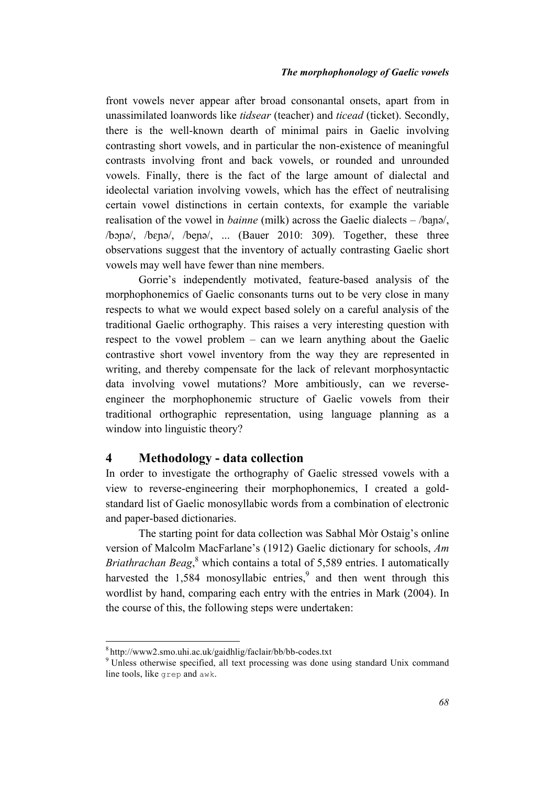front vowels never appear after broad consonantal onsets, apart from in unassimilated loanwords like *tidsear* (teacher) and *ticead* (ticket). Secondly, there is the well-known dearth of minimal pairs in Gaelic involving contrasting short vowels, and in particular the non-existence of meaningful contrasts involving front and back vowels, or rounded and unrounded vowels. Finally, there is the fact of the large amount of dialectal and ideolectal variation involving vowels, which has the effect of neutralising certain vowel distinctions in certain contexts, for example the variable realisation of the vowel in *bainne* (milk) across the Gaelic dialects – /baɲǝ/, /bɔɲǝ/, /bɛɲǝ/, /beɲǝ/, ... (Bauer 2010: 309). Together, these three observations suggest that the inventory of actually contrasting Gaelic short vowels may well have fewer than nine members.

Gorrie's independently motivated, feature-based analysis of the morphophonemics of Gaelic consonants turns out to be very close in many respects to what we would expect based solely on a careful analysis of the traditional Gaelic orthography. This raises a very interesting question with respect to the vowel problem – can we learn anything about the Gaelic contrastive short vowel inventory from the way they are represented in writing, and thereby compensate for the lack of relevant morphosyntactic data involving vowel mutations? More ambitiously, can we reverseengineer the morphophonemic structure of Gaelic vowels from their traditional orthographic representation, using language planning as a window into linguistic theory?

### **4 Methodology - data collection**

In order to investigate the orthography of Gaelic stressed vowels with a view to reverse-engineering their morphophonemics, I created a goldstandard list of Gaelic monosyllabic words from a combination of electronic and paper-based dictionaries.

The starting point for data collection was Sabhal Mòr Ostaig's online version of Malcolm MacFarlane's (1912) Gaelic dictionary for schools, *Am Briathrachan Beag*, <sup>8</sup> which contains a total of 5,589 entries. I automatically harvested the  $1.584$  monosyllabic entries,  $9$  and then went through this wordlist by hand, comparing each entry with the entries in Mark (2004). In the course of this, the following steps were undertaken:

 $8$  http://www2.smo.uhi.ac.uk/gaidhlig/faclair/bb/bb-codes.txt<br> $9$  Unless otherwise specified, all text processing was done using standard Unix command line tools, like grep and awk.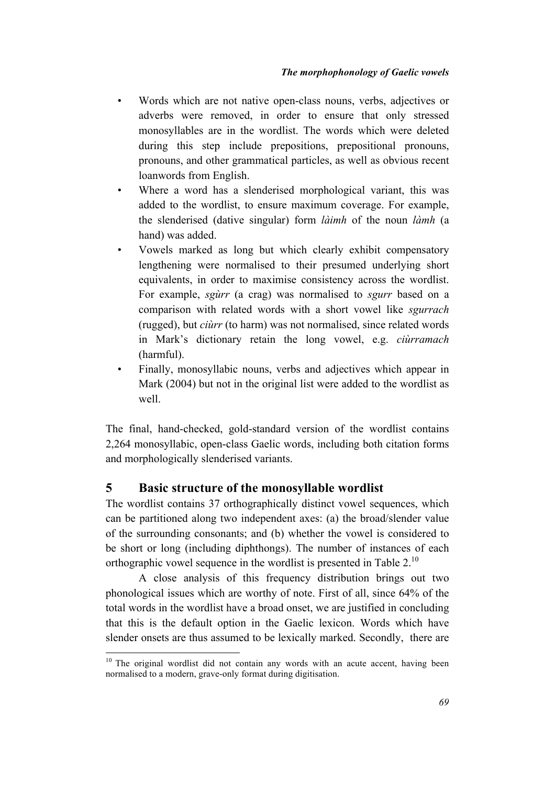- Words which are not native open-class nouns, verbs, adjectives or adverbs were removed, in order to ensure that only stressed monosyllables are in the wordlist. The words which were deleted during this step include prepositions, prepositional pronouns, pronouns, and other grammatical particles, as well as obvious recent loanwords from English.
- Where a word has a slenderised morphological variant, this was added to the wordlist, to ensure maximum coverage. For example, the slenderised (dative singular) form *làimh* of the noun *làmh* (a hand) was added.
- Vowels marked as long but which clearly exhibit compensatory lengthening were normalised to their presumed underlying short equivalents, in order to maximise consistency across the wordlist. For example, *sgùrr* (a crag) was normalised to *sgurr* based on a comparison with related words with a short vowel like *sgurrach* (rugged), but *ciùrr* (to harm) was not normalised, since related words in Mark's dictionary retain the long vowel, e.g. *ciùrramach* (harmful).
- Finally, monosyllabic nouns, verbs and adjectives which appear in Mark (2004) but not in the original list were added to the wordlist as well.

The final, hand-checked, gold-standard version of the wordlist contains 2,264 monosyllabic, open-class Gaelic words, including both citation forms and morphologically slenderised variants.

## **5 Basic structure of the monosyllable wordlist**

The wordlist contains 37 orthographically distinct vowel sequences, which can be partitioned along two independent axes: (a) the broad/slender value of the surrounding consonants; and (b) whether the vowel is considered to be short or long (including diphthongs). The number of instances of each orthographic vowel sequence in the wordlist is presented in Table  $2<sup>10</sup>$ 

A close analysis of this frequency distribution brings out two phonological issues which are worthy of note. First of all, since 64% of the total words in the wordlist have a broad onset, we are justified in concluding that this is the default option in the Gaelic lexicon. Words which have slender onsets are thus assumed to be lexically marked. Secondly, there are

<sup>&</sup>lt;sup>10</sup> The original wordlist did not contain any words with an acute accent, having been normalised to a modern, grave-only format during digitisation.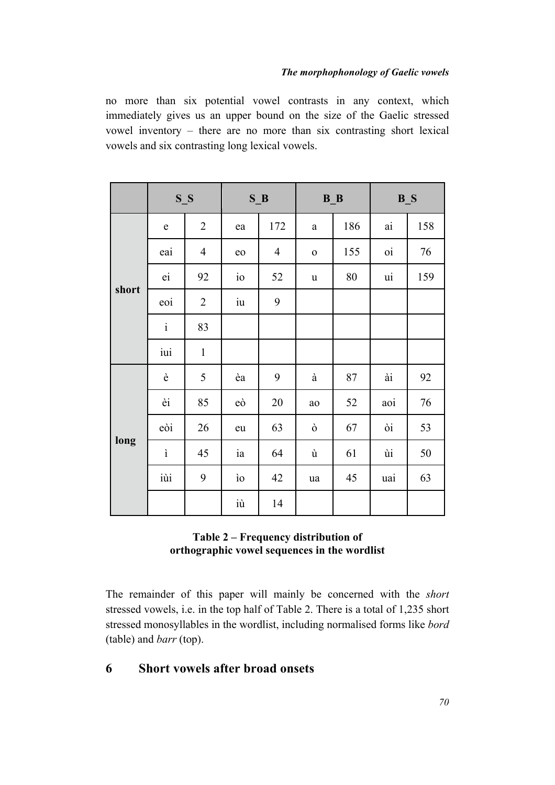no more than six potential vowel contrasts in any context, which immediately gives us an upper bound on the size of the Gaelic stressed vowel inventory – there are no more than six contrasting short lexical vowels and six contrasting long lexical vowels.

|       | $S_S$        |                |                        | $S$ <sub><math>B</math></sub> |              | $B_B$ | $B_S$ |     |
|-------|--------------|----------------|------------------------|-------------------------------|--------------|-------|-------|-----|
| short | e            | $\overline{2}$ | ea                     | 172                           | a            | 186   | ai    | 158 |
|       | eai          | $\overline{4}$ | eo                     | $\overline{4}$                | $\mathbf{O}$ | 155   | 0i    | 76  |
|       | ei           | 92             | $i\circ$               | 52                            | u            | 80    | ui    | 159 |
|       | eoi          | $\overline{2}$ | $\overline{\text{iu}}$ | 9                             |              |       |       |     |
|       | $\mathbf{i}$ | 83             |                        |                               |              |       |       |     |
|       | iui          | $\mathbf{1}$   |                        |                               |              |       |       |     |
| long  | è            | 5              | èa                     | 9                             | à            | 87    | ài    | 92  |
|       | èi           | 85             | eò                     | 20                            | ao           | 52    | aoi   | 76  |
|       | eòi          | 26             | eu                     | 63                            | ò            | 67    | òi    | 53  |
|       | ì            | 45             | ia                     | 64                            | ù            | 61    | ùi    | 50  |
|       | iùi          | 9              | ìο                     | 42                            | ua           | 45    | uai   | 63  |
|       |              |                | iù                     | 14                            |              |       |       |     |

## **Table 2 – Frequency distribution of orthographic vowel sequences in the wordlist**

The remainder of this paper will mainly be concerned with the *short* stressed vowels, i.e. in the top half of Table 2. There is a total of 1,235 short stressed monosyllables in the wordlist, including normalised forms like *bord* (table) and *barr* (top).

## **6 Short vowels after broad onsets**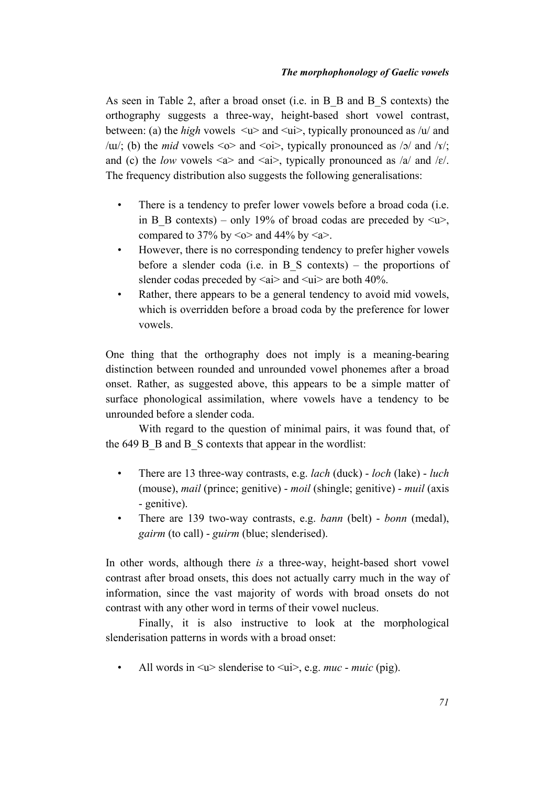As seen in Table 2, after a broad onset (i.e. in B\_B and B\_S contexts) the orthography suggests a three-way, height-based short vowel contrast, between: (a) the *high* vowels  $\langle u \rangle$  and  $\langle u \rangle$ , typically pronounced as /u/ and / $\mu$ /; (b) the *mid* vowels <o> and <oi>, typically pronounced as /o/ and /x/; and (c) the *low* vowels  $\langle a \rangle$  and  $\langle ai \rangle$ , typically pronounced as  $\langle ai \rangle$  and  $\langle \varepsilon \rangle$ . The frequency distribution also suggests the following generalisations:

- There is a tendency to prefer lower vowels before a broad coda (i.e. in B<sub>B</sub> contexts) – only 19% of broad codas are preceded by  $\langle u \rangle$ .</u> compared to 37% by  $\leq_0$  and 44% by  $\leq_a$ .
- However, there is no corresponding tendency to prefer higher vowels before a slender coda (i.e. in B\_S contexts) – the proportions of slender codas preceded by  $\langle ai \rangle$  and  $\langle vi \rangle$  are both 40%.
- Rather, there appears to be a general tendency to avoid mid vowels, which is overridden before a broad coda by the preference for lower vowels.

One thing that the orthography does not imply is a meaning-bearing distinction between rounded and unrounded vowel phonemes after a broad onset. Rather, as suggested above, this appears to be a simple matter of surface phonological assimilation, where vowels have a tendency to be unrounded before a slender coda.

With regard to the question of minimal pairs, it was found that, of the 649 B B and B S contexts that appear in the wordlist:

- There are 13 three-way contrasts, e.g. *lach* (duck) *loch* (lake) *luch* (mouse), *mail* (prince; genitive) - *moil* (shingle; genitive) - *muil* (axis - genitive).
- There are 139 two-way contrasts, e.g. *bann* (belt) *bonn* (medal), *gairm* (to call) - *guirm* (blue; slenderised).

In other words, although there *is* a three-way, height-based short vowel contrast after broad onsets, this does not actually carry much in the way of information, since the vast majority of words with broad onsets do not contrast with any other word in terms of their vowel nucleus.

Finally, it is also instructive to look at the morphological slenderisation patterns in words with a broad onset:

All words in  $\leq u$  slenderise to  $\leq u$  i  $\geq$ , e.g. *muc* - *muic* (pig).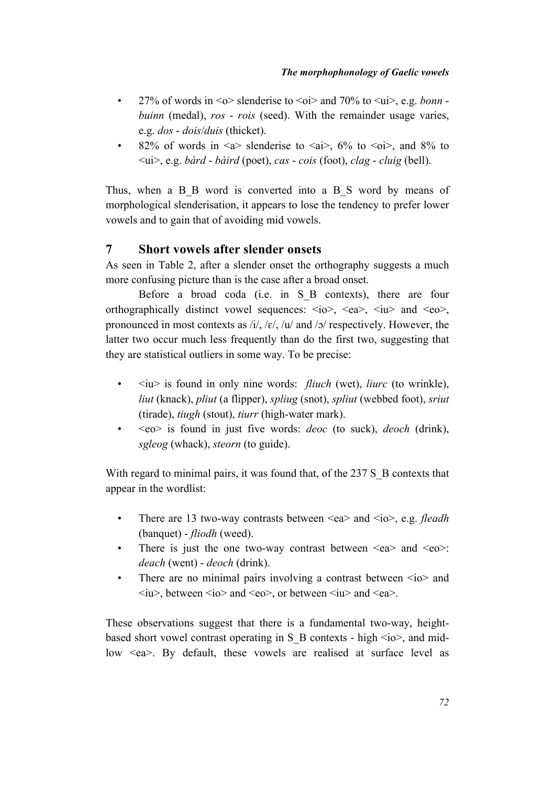- 27% of words in  $\leq$   $\circ$  slenderise to  $\leq$   $\circ$  and 70% to  $\leq$   $\circ$   $\circ$   $\circ$   $\circ$  *e.g. bonn buinn* (medal), *ros* - *rois* (seed). With the remainder usage varies, e.g. *dos* - *dois*/*duis* (thicket).
- 82% of words in  $\leq a$  slenderise to  $\leq ai$ , 6% to  $\leq o$ i, and 8% to <ui>, e.g. *bàrd* - *bàird* (poet), *cas* - *cois* (foot), *clag* - *cluig* (bell).

Thus, when a B B word is converted into a B S word by means of morphological slenderisation, it appears to lose the tendency to prefer lower vowels and to gain that of avoiding mid vowels.

## **7 Short vowels after slender onsets**

As seen in Table 2, after a slender onset the orthography suggests a much more confusing picture than is the case after a broad onset.

Before a broad coda (i.e. in S B contexts), there are four orthographically distinct vowel sequences:  $\langle i\omega \rangle$ ,  $\langle e\omega \rangle$ ,  $\langle i\omega \rangle$  and  $\langle e\omega \rangle$ , pronounced in most contexts as  $\frac{i}{\ell}$ ,  $\frac{i}{\ell}$ ,  $\frac{i}{\ell}$  and  $\frac{i}{\ell}$  respectively. However, the latter two occur much less frequently than do the first two, suggesting that they are statistical outliers in some way. To be precise:

- $\cdot$   $\langle i\psi \rangle$  is found in only nine words: *fliuch* (wet), *liurc* (to wrinkle), *liut* (knack), *pliut* (a flipper), *spliug* (snot), *spliut* (webbed foot), *sriut* (tirade), *tiugh* (stout), *tiurr* (high-water mark).
- <eo> is found in just five words: *deoc* (to suck), *deoch* (drink), *sgleog* (whack), *steorn* (to guide).

With regard to minimal pairs, it was found that, of the 237 S\_B contexts that appear in the wordlist:

- There are 13 two-way contrasts between <ea> and <io>, e.g. *fleadh* (banquet) - *fliodh* (weed).
- There is just the one two-way contrast between  $\langle ea \rangle$  and  $\langle eo \rangle$ : *deach* (went) - *deoch* (drink).
- There are no minimal pairs involving a contrast between  $\langle i \rangle$  and  $\langle i\mathbf{u}\rangle$ , between  $\langle i\mathbf{o}\rangle$  and  $\langle \mathbf{e}\mathbf{o}\rangle$ , or between  $\langle i\mathbf{u}\rangle$  and  $\langle \mathbf{e}\mathbf{a}\rangle$ .

These observations suggest that there is a fundamental two-way, heightbased short vowel contrast operating in S\_B contexts - high  $\langle i\omega \rangle$ , and midlow  $\leq$ ea >. By default, these vowels are realised at surface level as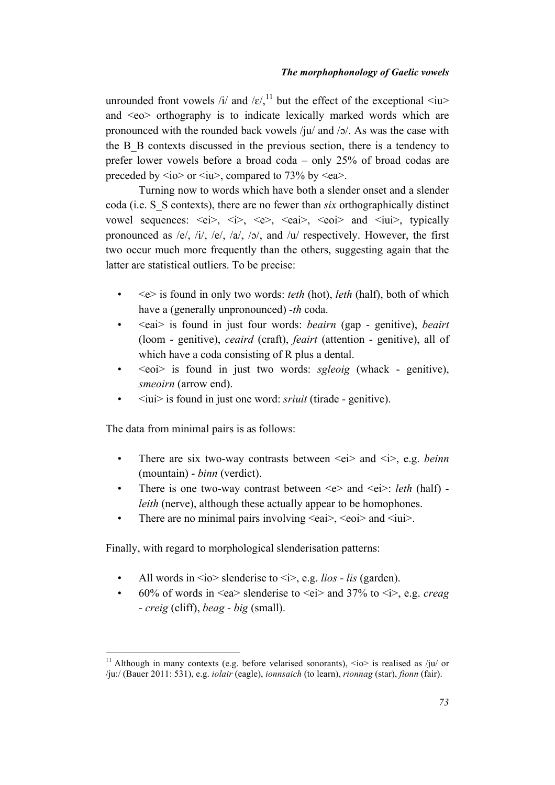unrounded front vowels /i/ and / $\varepsilon$ / $^{11}$  but the effect of the exceptional  $\langle iu \rangle$ and <eo> orthography is to indicate lexically marked words which are pronounced with the rounded back vowels /ju/ and /ɔ/. As was the case with the B\_B contexts discussed in the previous section, there is a tendency to prefer lower vowels before a broad coda – only 25% of broad codas are preceded by  $\langle i\omega \rangle$  or  $\langle i\omega \rangle$ , compared to 73% by  $\langle ea \rangle$ .

Turning now to words which have both a slender onset and a slender coda (i.e. S\_S contexts), there are no fewer than *six* orthographically distinct vowel sequences:  $\langle ei \rangle$ ,  $\langle i \rangle$ ,  $\langle ee \rangle$ ,  $\langle eai \rangle$ ,  $\langle eoi \rangle$  and  $\langle iui \rangle$ , typically pronounced as /e/, /i/, /e/, /a/, /ɔ/, and /u/ respectively. However, the first two occur much more frequently than the others, suggesting again that the latter are statistical outliers. To be precise:

- <e> is found in only two words: *teth* (hot), *leth* (half), both of which have a (generally unpronounced) *-th* coda.
- <eai> is found in just four words: *beairn* (gap genitive), *beairt* (loom - genitive), *ceaird* (craft), *feairt* (attention - genitive), all of which have a coda consisting of R plus a dental.
- <eoi> is found in just two words: *sgleoig* (whack genitive), *smeoirn* (arrow end).
- <iui> is found in just one word: *sriuit* (tirade genitive).

The data from minimal pairs is as follows:

- There are six two-way contrasts between  $\leq e$  i> and  $\leq i$ >, e.g. *beinn* (mountain) - *binn* (verdict).
- There is one two-way contrast between  $\leq e$  and  $\leq$  ei  $\geq$ : *leth* (half) *leith* (nerve), although these actually appear to be homophones.
- There are no minimal pairs involving  $\langle$ eai $>$ ,  $\langle$ eoi $>$  and  $\langle$ iui $>$ .

Finally, with regard to morphological slenderisation patterns:

- All words in  $\langle$ io > slenderise to  $\langle i \rangle$ , e.g. *lios lis* (garden).
- 60% of words in  $\leq$ ea> slenderise to  $\leq$ ei> and 37% to  $\leq$ i>, e.g. *creag* - *creig* (cliff), *beag* - *big* (small).

<sup>&</sup>lt;sup>11</sup> Although in many contexts (e.g. before velarised sonorants),  $\langle i\omega \rangle$  is realised as /ju/ or /ju:/ (Bauer 2011: 531), e.g. *iolair* (eagle), *ionnsaich* (to learn), *rionnag* (star), *fionn* (fair).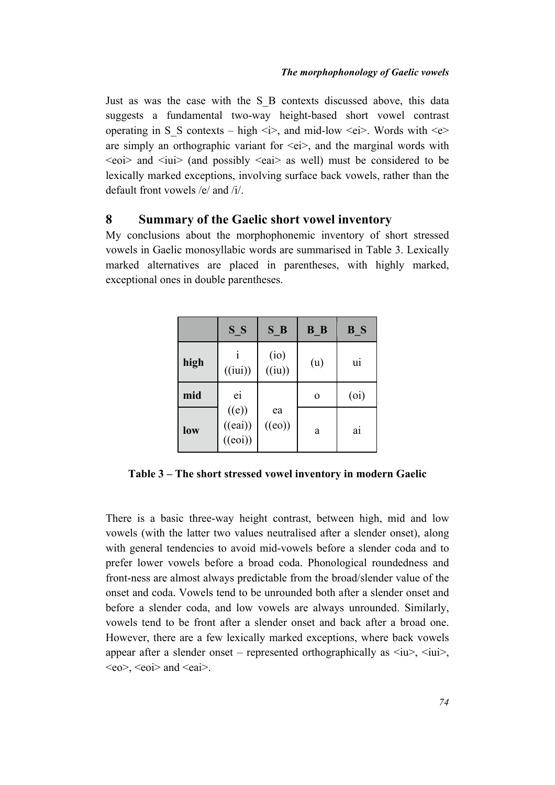Just as was the case with the S\_B contexts discussed above, this data suggests a fundamental two-way height-based short vowel contrast operating in S<sub>s</sub> contexts – high  $\langle i \rangle$ , and mid-low  $\langle ei \rangle$ . Words with  $\langle e \rangle$ are simply an orthographic variant for  $\langle ei \rangle$ , and the marginal words with  $\leq$ eoi> and  $\leq$ iui> (and possibly  $\leq$ eai> as well) must be considered to be lexically marked exceptions, involving surface back vowels, rather than the default front vowels /e/ and /i/.

## **8 Summary of the Gaelic short vowel inventory**

My conclusions about the morphophonemic inventory of short stressed vowels in Gaelic monosyllabic words are summarised in Table 3. Lexically marked alternatives are placed in parentheses, with highly marked, exceptional ones in double parentheses.

|      | S S                         | S B          | B B      | B S               |
|------|-----------------------------|--------------|----------|-------------------|
| high | (iui)                       | (i)<br>(iu)  | (u)      | u <sub>1</sub>    |
| mid  | ei                          |              | $\Omega$ | (o <sub>i</sub> ) |
| low  | ((e))<br>((eai))<br>((eoi)) | ea<br>((eo)) | a        | a <sub>1</sub>    |

**Table 3 – The short stressed vowel inventory in modern Gaelic**

There is a basic three-way height contrast, between high, mid and low vowels (with the latter two values neutralised after a slender onset), along with general tendencies to avoid mid-vowels before a slender coda and to prefer lower vowels before a broad coda. Phonological roundedness and front-ness are almost always predictable from the broad/slender value of the onset and coda. Vowels tend to be unrounded both after a slender onset and before a slender coda, and low vowels are always unrounded. Similarly, vowels tend to be front after a slender onset and back after a broad one. However, there are a few lexically marked exceptions, where back vowels appear after a slender onset – represented orthographically as  $\langle i\mathbf{u}\rangle$ ,  $\langle i\mathbf{u}i\rangle$ ,  $\langle$ eo $>$ ,  $\langle$ eoi $>$  and  $\langle$ eai $>$ .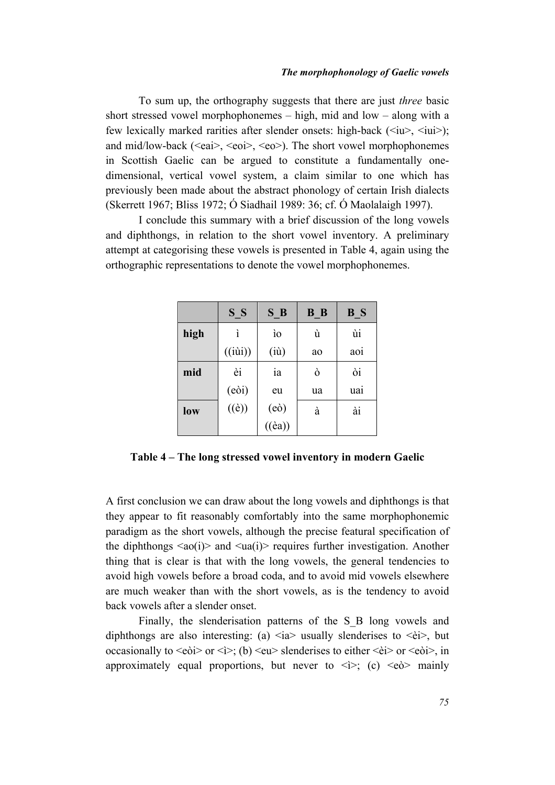To sum up, the orthography suggests that there are just *three* basic short stressed vowel morphophonemes – high, mid and low – along with a few lexically marked rarities after slender onsets: high-back  $(\langle i\rangle, \langle i\rangle, \langle i\rangle)$ ; and mid/low-back ( $\leq$ eai $>$ ,  $\leq$ eoi $>$ ,  $\leq$ eo $>$ ). The short vowel morphophonemes in Scottish Gaelic can be argued to constitute a fundamentally onedimensional, vertical vowel system, a claim similar to one which has previously been made about the abstract phonology of certain Irish dialects (Skerrett 1967; Bliss 1972; Ó Siadhail 1989: 36; cf. Ó Maolalaigh 1997).

I conclude this summary with a brief discussion of the long vowels and diphthongs, in relation to the short vowel inventory. A preliminary attempt at categorising these vowels is presented in Table 4, again using the orthographic representations to denote the vowel morphophonemes.

|      | S S                         | S B              | B B | B S |
|------|-----------------------------|------------------|-----|-----|
| high | ì                           | <sub>io</sub>    | ù   | ùi  |
|      | $(i\dot{u}i))$              | (iù)             | ao  | aoi |
| mid  | èi                          | 1a               | ò   | òi  |
|      | (eòi)                       | eu               | ua  | uai |
| low  | $\overline{(\texttt{(e)})}$ | (eo)             | à   | ài  |
|      |                             | $((\grave{e}a))$ |     |     |

**Table 4 – The long stressed vowel inventory in modern Gaelic**

A first conclusion we can draw about the long vowels and diphthongs is that they appear to fit reasonably comfortably into the same morphophonemic paradigm as the short vowels, although the precise featural specification of the diphthongs  $\langle a_0(i) \rangle$  and  $\langle a_0(i) \rangle$  requires further investigation. Another thing that is clear is that with the long vowels, the general tendencies to avoid high vowels before a broad coda, and to avoid mid vowels elsewhere are much weaker than with the short vowels, as is the tendency to avoid back vowels after a slender onset.

Finally, the slenderisation patterns of the S B long vowels and diphthongs are also interesting: (a)  $\langle$ ia $\rangle$  usually slenderises to  $\langle$ èi $\rangle$ , but occasionally to  $\langle e\phi$  or  $\langle \phi \rangle$ ; (b)  $\langle e\psi \rangle$  slenderises to either  $\langle \dot{e}i \rangle$  or  $\langle e\dot{\phi}i \rangle$ , in approximately equal proportions, but never to  $\langle \rangle$ ; (c)  $\langle e_0 \rangle$  mainly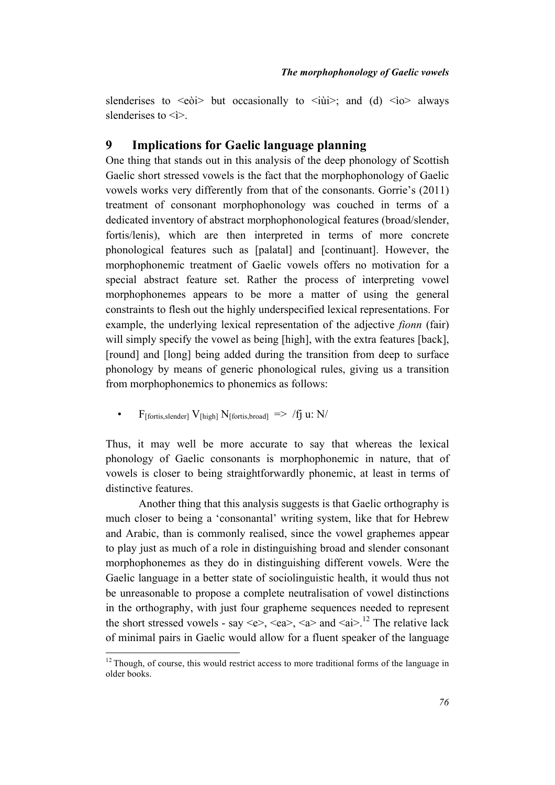slenderises to  $\leq e\delta i$  but occasionally to  $\leq i\delta i$  and (d)  $\leq i\delta$  always slenderises to  $\leq$  >.

## **9 Implications for Gaelic language planning**

One thing that stands out in this analysis of the deep phonology of Scottish Gaelic short stressed vowels is the fact that the morphophonology of Gaelic vowels works very differently from that of the consonants. Gorrie's (2011) treatment of consonant morphophonology was couched in terms of a dedicated inventory of abstract morphophonological features (broad/slender, fortis/lenis), which are then interpreted in terms of more concrete phonological features such as [palatal] and [continuant]. However, the morphophonemic treatment of Gaelic vowels offers no motivation for a special abstract feature set. Rather the process of interpreting vowel morphophonemes appears to be more a matter of using the general constraints to flesh out the highly underspecified lexical representations. For example, the underlying lexical representation of the adjective *fionn* (fair) will simply specify the vowel as being [high], with the extra features [back], [round] and [long] being added during the transition from deep to surface phonology by means of generic phonological rules, giving us a transition from morphophonemics to phonemics as follows:

• F<sub>[fortis,slender]</sub>  $V_{[high]} N_{[fortis, broad]} \implies /f_1 u: N/$ 

Thus, it may well be more accurate to say that whereas the lexical phonology of Gaelic consonants is morphophonemic in nature, that of vowels is closer to being straightforwardly phonemic, at least in terms of distinctive features.

Another thing that this analysis suggests is that Gaelic orthography is much closer to being a 'consonantal' writing system, like that for Hebrew and Arabic, than is commonly realised, since the vowel graphemes appear to play just as much of a role in distinguishing broad and slender consonant morphophonemes as they do in distinguishing different vowels. Were the Gaelic language in a better state of sociolinguistic health, it would thus not be unreasonable to propose a complete neutralisation of vowel distinctions in the orthography, with just four grapheme sequences needed to represent the short stressed vowels - say <e>, <ea>, <a> and <ai>.<sup>12</sup> The relative lack of minimal pairs in Gaelic would allow for a fluent speaker of the language

 $12$  Though, of course, this would restrict access to more traditional forms of the language in older books.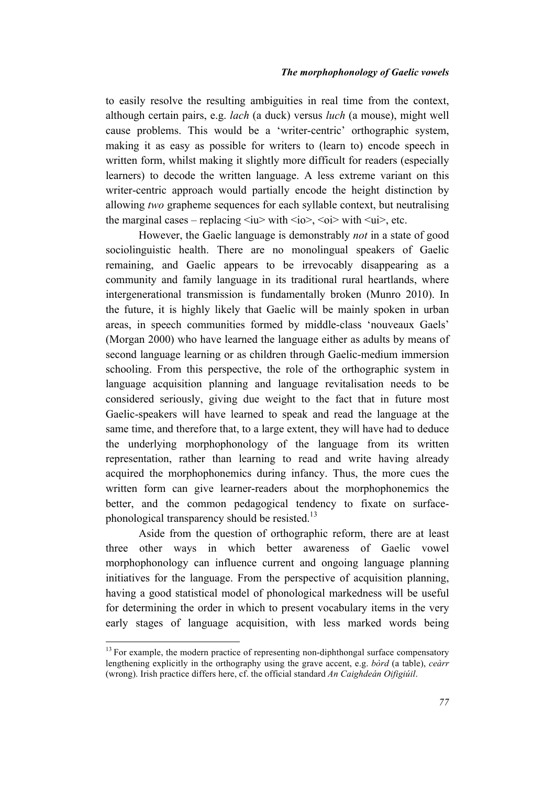to easily resolve the resulting ambiguities in real time from the context, although certain pairs, e.g. *lach* (a duck) versus *luch* (a mouse), might well cause problems. This would be a 'writer-centric' orthographic system, making it as easy as possible for writers to (learn to) encode speech in written form, whilst making it slightly more difficult for readers (especially learners) to decode the written language. A less extreme variant on this writer-centric approach would partially encode the height distinction by allowing *two* grapheme sequences for each syllable context, but neutralising the marginal cases – replacing  $\langle i\psi \rangle$  with  $\langle i\phi \rangle$ ,  $\langle 0i \rangle$  with  $\langle \psi \rangle$ , etc.

However, the Gaelic language is demonstrably *not* in a state of good sociolinguistic health. There are no monolingual speakers of Gaelic remaining, and Gaelic appears to be irrevocably disappearing as a community and family language in its traditional rural heartlands, where intergenerational transmission is fundamentally broken (Munro 2010). In the future, it is highly likely that Gaelic will be mainly spoken in urban areas, in speech communities formed by middle-class 'nouveaux Gaels' (Morgan 2000) who have learned the language either as adults by means of second language learning or as children through Gaelic-medium immersion schooling. From this perspective, the role of the orthographic system in language acquisition planning and language revitalisation needs to be considered seriously, giving due weight to the fact that in future most Gaelic-speakers will have learned to speak and read the language at the same time, and therefore that, to a large extent, they will have had to deduce the underlying morphophonology of the language from its written representation, rather than learning to read and write having already acquired the morphophonemics during infancy. Thus, the more cues the written form can give learner-readers about the morphophonemics the better, and the common pedagogical tendency to fixate on surfacephonological transparency should be resisted.<sup>13</sup>

Aside from the question of orthographic reform, there are at least three other ways in which better awareness of Gaelic vowel morphophonology can influence current and ongoing language planning initiatives for the language. From the perspective of acquisition planning, having a good statistical model of phonological markedness will be useful for determining the order in which to present vocabulary items in the very early stages of language acquisition, with less marked words being

 $13$  For example, the modern practice of representing non-diphthongal surface compensatory lengthening explicitly in the orthography using the grave accent, e.g. *bòrd* (a table), *ceàrr* (wrong). Irish practice differs here, cf. the official standard *An Caighdeán Oifigiúil*.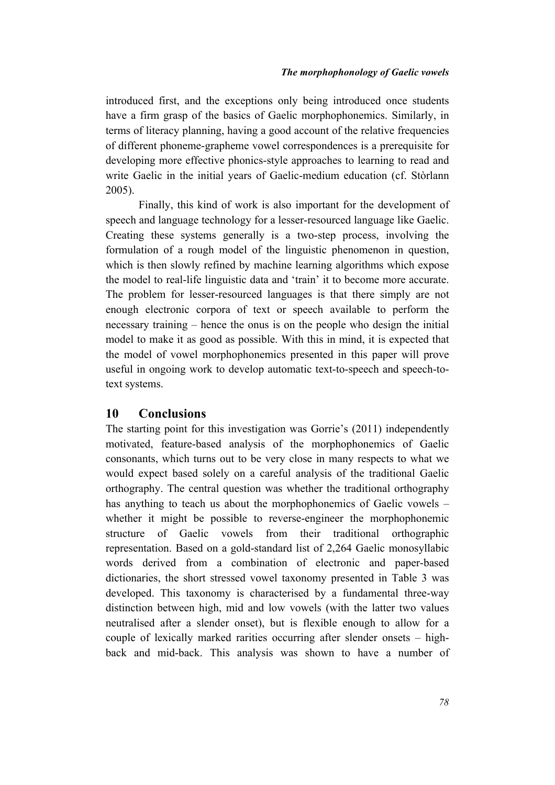introduced first, and the exceptions only being introduced once students have a firm grasp of the basics of Gaelic morphophonemics. Similarly, in terms of literacy planning, having a good account of the relative frequencies of different phoneme-grapheme vowel correspondences is a prerequisite for developing more effective phonics-style approaches to learning to read and write Gaelic in the initial years of Gaelic-medium education (cf. Stòrlann 2005).

Finally, this kind of work is also important for the development of speech and language technology for a lesser-resourced language like Gaelic. Creating these systems generally is a two-step process, involving the formulation of a rough model of the linguistic phenomenon in question, which is then slowly refined by machine learning algorithms which expose the model to real-life linguistic data and 'train' it to become more accurate. The problem for lesser-resourced languages is that there simply are not enough electronic corpora of text or speech available to perform the necessary training – hence the onus is on the people who design the initial model to make it as good as possible. With this in mind, it is expected that the model of vowel morphophonemics presented in this paper will prove useful in ongoing work to develop automatic text-to-speech and speech-totext systems.

## **10 Conclusions**

The starting point for this investigation was Gorrie's (2011) independently motivated, feature-based analysis of the morphophonemics of Gaelic consonants, which turns out to be very close in many respects to what we would expect based solely on a careful analysis of the traditional Gaelic orthography. The central question was whether the traditional orthography has anything to teach us about the morphophonemics of Gaelic vowels – whether it might be possible to reverse-engineer the morphophonemic structure of Gaelic vowels from their traditional orthographic representation. Based on a gold-standard list of 2,264 Gaelic monosyllabic words derived from a combination of electronic and paper-based dictionaries, the short stressed vowel taxonomy presented in Table 3 was developed. This taxonomy is characterised by a fundamental three-way distinction between high, mid and low vowels (with the latter two values neutralised after a slender onset), but is flexible enough to allow for a couple of lexically marked rarities occurring after slender onsets – highback and mid-back. This analysis was shown to have a number of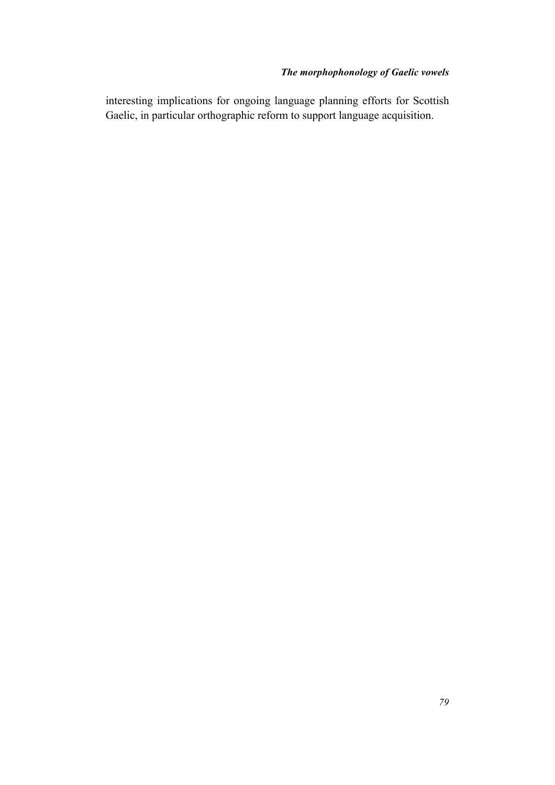interesting implications for ongoing language planning efforts for Scottish Gaelic, in particular orthographic reform to support language acquisition.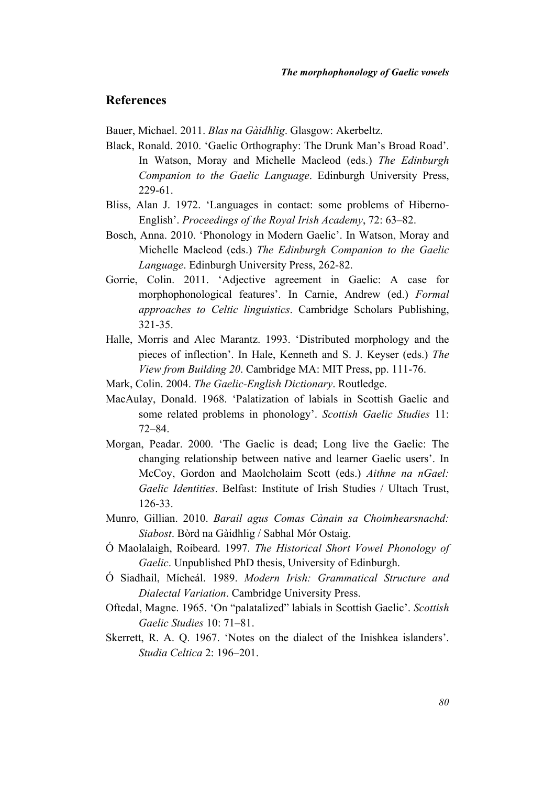## **References**

Bauer, Michael. 2011. *Blas na Gàidhlig*. Glasgow: Akerbeltz.

- Black, Ronald. 2010. 'Gaelic Orthography: The Drunk Man's Broad Road'. In Watson, Moray and Michelle Macleod (eds.) *The Edinburgh Companion to the Gaelic Language*. Edinburgh University Press, 229-61.
- Bliss, Alan J. 1972. 'Languages in contact: some problems of Hiberno-English'. *Proceedings of the Royal Irish Academy*, 72: 63–82.
- Bosch, Anna. 2010. 'Phonology in Modern Gaelic'. In Watson, Moray and Michelle Macleod (eds.) *The Edinburgh Companion to the Gaelic Language*. Edinburgh University Press, 262-82.
- Gorrie, Colin. 2011. 'Adjective agreement in Gaelic: A case for morphophonological features'. In Carnie, Andrew (ed.) *Formal approaches to Celtic linguistics*. Cambridge Scholars Publishing, 321-35.
- Halle, Morris and Alec Marantz. 1993. 'Distributed morphology and the pieces of inflection'. In Hale, Kenneth and S. J. Keyser (eds.) *The View from Building 20*. Cambridge MA: MIT Press, pp. 111-76.
- Mark, Colin. 2004. *The Gaelic-English Dictionary*. Routledge.
- MacAulay, Donald. 1968. 'Palatization of labials in Scottish Gaelic and some related problems in phonology'. *Scottish Gaelic Studies* 11: 72–84.
- Morgan, Peadar. 2000. 'The Gaelic is dead; Long live the Gaelic: The changing relationship between native and learner Gaelic users'. In McCoy, Gordon and Maolcholaim Scott (eds.) *Aithne na nGael: Gaelic Identities*. Belfast: Institute of Irish Studies / Ultach Trust, 126-33.
- Munro, Gillian. 2010. *Barail agus Comas Cànain sa Choimhearsnachd: Siabost*. Bòrd na Gàidhlig / Sabhal Mór Ostaig.
- Ó Maolalaigh, Roibeard. 1997. *The Historical Short Vowel Phonology of Gaelic*. Unpublished PhD thesis, University of Edinburgh.
- Ó Siadhail, Mícheál. 1989. *Modern Irish: Grammatical Structure and Dialectal Variation*. Cambridge University Press.
- Oftedal, Magne. 1965. 'On "palatalized" labials in Scottish Gaelic'. *Scottish Gaelic Studies* 10: 71–81.
- Skerrett, R. A. Q. 1967. 'Notes on the dialect of the Inishkea islanders'. *Studia Celtica* 2: 196–201.